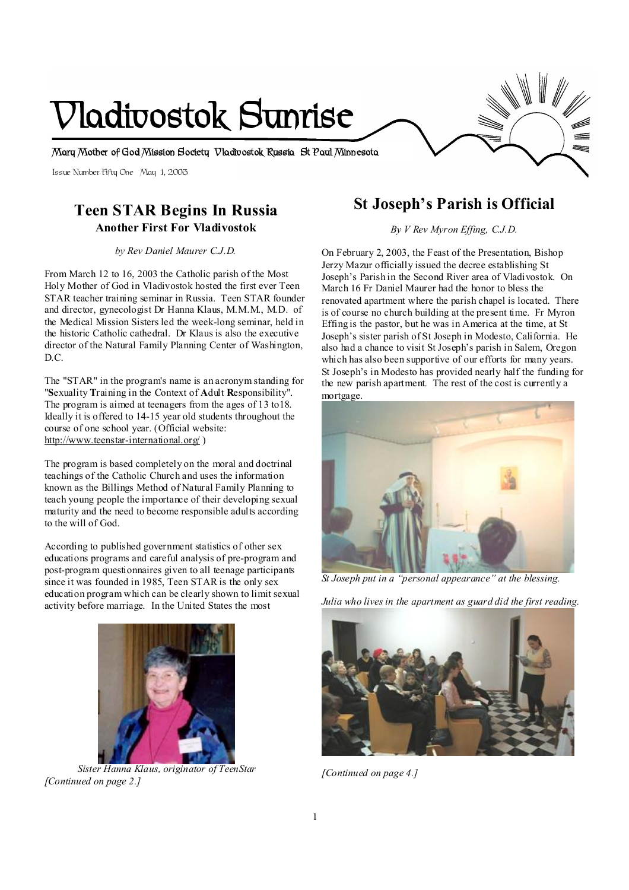# **Vladivostok Sunrise**

**Mary Mother of God Mission Society Vladivostok Russia St Paul Minnesota** 

Issue Number Fifty One May 1, 2003

### **Teen STAR Begins In Russia Another First For Vladivostok**

*by Rev Daniel Maurer C.J.D.* 

From March 12 to 16, 2003 the Catholic parish of the Most Holy Mother of God in Vladivostok hosted the first ever Teen STAR teacher training seminar in Russia. Teen STAR founder and director, gynecologist Dr Hanna Klaus, M.M.M., M.D. of the Medical Mission Sisters led the week-long seminar, held in the historic Catholic cathedral. Dr Klaus is also the executive director of the Natural Family Planning Center of Washington, D.C.

The "STAR" in the program's name is an acronym standing for "**S**exuality **T**raining in the Context of **A**dult **R**esponsibility". The program is aimed at teenagers from the ages of 13 to18. Ideally it is offered to 14-15 year old students throughout the course of one school year. (Official website: <http://www.teenstar-international.org/> )

The program is based completely on the moral and doctrinal teachings of the Catholic Church and uses the information known as the Billings Method of Natural Family Planning to teach young people the importance of their developing sexual maturity and the need to become responsible adults according to the will of God.

According to published government statistics of other sex educations programs and careful analysis of pre-program and post-program questionnaires given to all teenage participants since it was founded in 1985, Teen STAR is the only sex education program which can be clearly shown to limit sexual activity before marriage. In the United States the most



 *Sister Hanna Klaus, originator of TeenStar [Continued on page 2.]*

# **St Joseph's Parish is Official**

*By V Rev Myron Effing, C.J.D.* 

On February 2, 2003, the Feast of the Presentation, Bishop Jerzy Mazur officially issued the decree establishing St Joseph's Parish in the Second River area of Vladivostok. On March 16 Fr Daniel Maurer had the honor to bless the renovated apartment where the parish chapel is located. There is of course no church building at the present time. Fr Myron Effing is the pastor, but he was in America at the time, at St Joseph's sister parish of St Joseph in Modesto, California. He also had a chance to visit St Joseph's parish in Salem, Oregon which has also been supportive of our efforts for many years. St Joseph's in Modesto has provided nearly half the funding for the new parish apartment. The rest of the cost is currently a mortgage.



*St Joseph put in a "personal appearance" at the blessing.* 

*Julia who lives in the apartment as guard did the first reading.* 



*[Continued on page 4.]*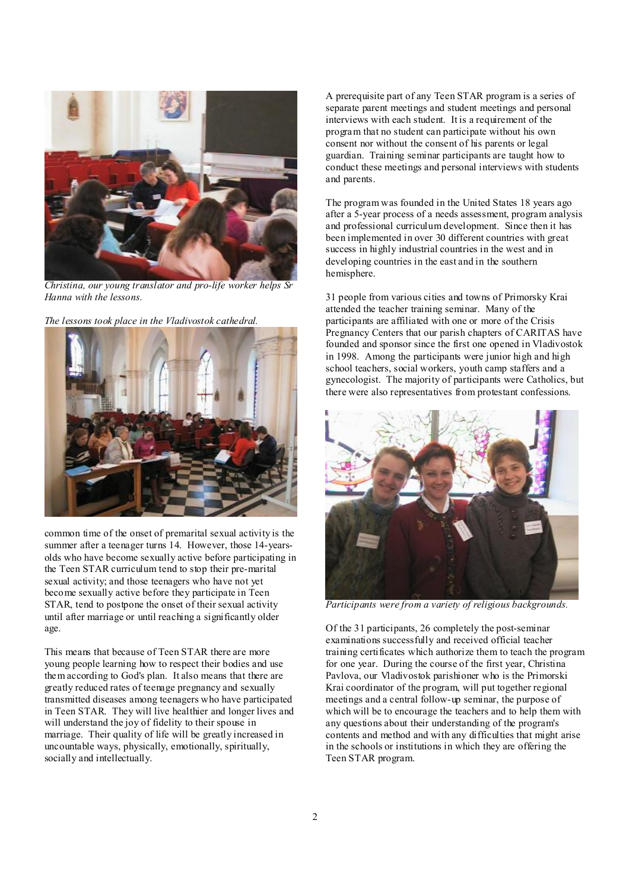

*Christina, our young translator and pro-life worker helps Sr Hanna with the lessons.* 

*The lessons took place in the Vladivostok cathedral.* 



common time of the onset of premarital sexual activity is the summer after a teenager turns 14. However, those 14-yearsolds who have become sexually active before participating in the Teen STAR curriculum tend to stop their pre-marital sexual activity; and those teenagers who have not yet become sexually active before they participate in Teen STAR, tend to postpone the onset of their sexual activity until after marriage or until reaching a significantly older age.

This means that because of Teen STAR there are more young people learning how to respect their bodies and use them according to God's plan. It also means that there are greatly reduced rates of teenage pregnancy and sexually transmitted diseases among teenagers who have participated in Teen STAR. They will live healthier and longer lives and will understand the joy of fidelity to their spouse in marriage. Their quality of life will be greatly increased in uncountable ways, physically, emotionally, spiritually, socially and intellectually.

A prerequisite part of any Teen STAR program is a series of separate parent meetings and student meetings and personal interviews with each student. It is a requirement of the program that no student can participate without his own consent nor without the consent of his parents or legal guardian. Training seminar participants are taught how to conduct these meetings and personal interviews with students and parents.

The program was founded in the United States 18 years ago after a 5-year process of a needs assessment, program analysis and professional curriculum development. Since then it has been implemented in over 30 different countries with great success in highly industrial countries in the west and in developing countries in the east and in the southern hemisphere.

31 people from various cities and towns of Primorsky Krai attended the teacher training seminar. Many of the participants are affiliated with one or more of the Crisis Pregnancy Centers that our parish chapters of CARITAS have founded and sponsor since the first one opened in Vladivostok in 1998. Among the participants were junior high and high school teachers, social workers, youth camp staffers and a gynecologist. The majority of participants were Catholics, but there were also representatives from protestant confessions.



*Participants were from a variety of religious backgrounds.* 

Of the 31 participants, 26 completely the post-seminar examinations successfully and received official teacher training certificates which authorize them to teach the program for one year. During the course of the first year, Christina Pavlova, our Vladivostok parishioner who is the Primorski Krai coordinator of the program, will put together regional meetings and a central follow-up seminar, the purpose of which will be to encourage the teachers and to help them with any questions about their understanding of the program's contents and method and with any difficulties that might arise in the schools or institutions in which they are offering the Teen STAR program.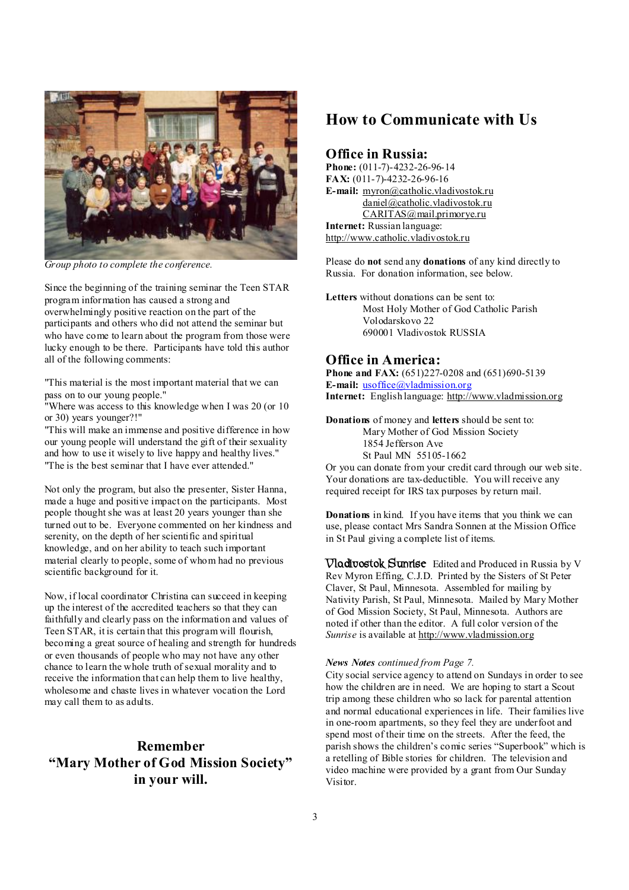

*Group photo to complete the conference.* 

Since the beginning of the training seminar the Teen STAR program information has caused a strong and overwhelmingly positive reaction on the part of the participants and others who did not attend the seminar but who have come to learn about the program from those were lucky enough to be there. Participants have told this author all of the following comments:

"This material is the most important material that we can pass on to our young people."

"Where was access to this knowledge when I was 20 (or 10 or 30) years younger?!"

"This will make an immense and positive difference in how our young people will understand the gift of their sexuality and how to use it wisely to live happy and healthy lives." "The is the best seminar that I have ever attended."

Not only the program, but also the presenter, Sister Hanna, made a huge and positive impact on the participants. Most people thought she was at least 20 years younger than she turned out to be. Everyone commented on her kindness and serenity, on the depth of her scientific and spiritual knowledge, and on her ability to teach such important material clearly to people, some of whom had no previous scientific background for it.

Now, if local coordinator Christina can succeed in keeping up the interest of the accredited teachers so that they can faithfully and clearly pass on the information and values of Teen STAR, it is certain that this program will flourish, becoming a great source of healing and strength for hundreds or even thousands of people who may not have any other chance to learn the whole truth of sexual morality and to receive the information that can help them to live healthy, wholesome and chaste lives in whatever vocation the Lord may call them to as adults.

## **Remember "Mary Mother of God Mission Society" in your will.**

## **How to Communicate with Us**

#### **Office in Russia:**

**Phone:** (011-7)-4232-26-96-14 **FAX:** (011-7)-4232-26-96-16 **E-mail:** [myron@catholic.vladivostok.ru](mailto:myron@catholic.vladivostok.ru) [daniel@catholic.vladivostok.ru](mailto:daniel@catholic.vladivostok.ru) [CARITAS@mail.primorye.ru](mailto:CARITAS@mail.primorye.ru) **Internet:** Russian language: <http://www.catholic.vladivostok.ru>

Please do **not** send any **donations** of any kind directly to Russia. For donation information, see below.

**Letters** without donations can be sent to: Most Holy Mother of God Catholic Parish Volodarskovo 22 690001 Vladivostok RUSSIA

#### **Office in America:**

**Phone and FAX:** (651)227-0208 and (651)690-5139 **E-mail:** [usoffice@vladmission.org](mailto:usoffice@vladmission.org) **Internet:** English language: <http://www.vladmission.org>

**Donations** of money and **letters** should be sent to: Mary Mother of God Mission Society 1854 Jefferson Ave St Paul MN 55105-1662

Or you can donate from your credit card through our web site. Your donations are tax-deductible. You will receive any required receipt for IRS tax purposes by return mail.

**Donations** in kind. If you have items that you think we can use, please contact Mrs Sandra Sonnen at the Mission Office in St Paul giving a complete list of items.

**Vladivostok Sunrise** Edited and Produced in Russia by V Rev Myron Effing, C.J.D. Printed by the Sisters of St Peter Claver, St Paul, Minnesota. Assembled for mailing by Nativity Parish, St Paul, Minnesota. Mailed by Mary Mother of God Mission Society, St Paul, Minnesota. Authors are noted if other than the editor. A full color version of the *Sunrise* is available at <http://www.vladmission.org>

#### *News Notes continued from Page 7.*

City social service agency to attend on Sundays in order to see how the children are in need. We are hoping to start a Scout trip among these children who so lack for parental attention and normal educational experiences in life. Their families live in one-room apartments, so they feel they are underfoot and spend most of their time on the streets. After the feed, the parish shows the children's comic series "Superbook" which is a retelling of Bible stories for children. The television and video machine were provided by a grant from Our Sunday Visitor.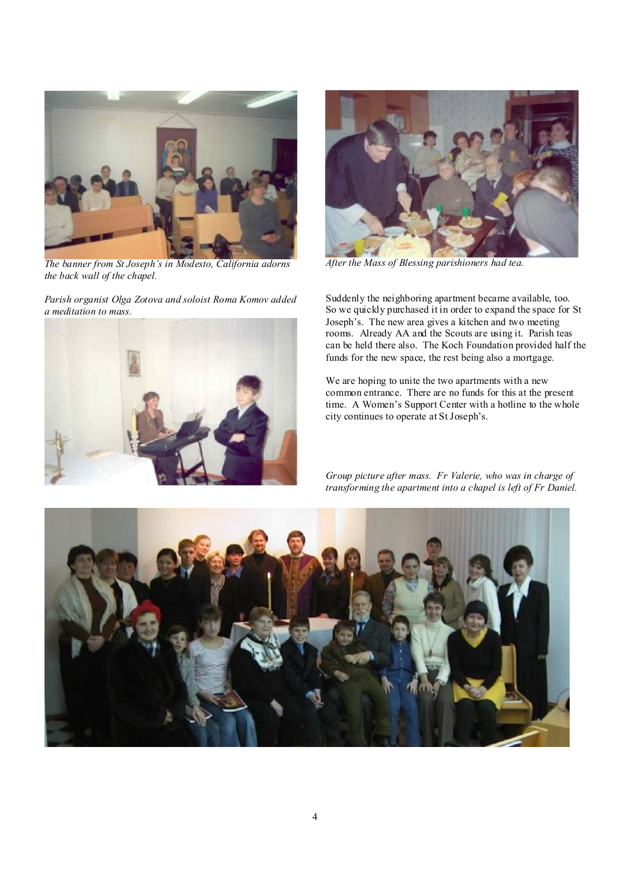

*The banner from St Joseph's in Modesto, California adorns the back wall of the chapel.* 

*Parish organist Olga Zotova and soloist Roma Komov added a meditation to mass.* 





*After the Mass of Blessing parishioners had tea.* 

Suddenly the neighboring apartment became available, too. So we quickly purchased it in order to expand the space for St Joseph's. The new area gives a kitchen and two meeting rooms. Already AA and the Scouts are using it. Parish teas can be held there also. The Koch Foundation provided half the funds for the new space, the rest being also a mortgage.

We are hoping to unite the two apartments with a new common entrance. There are no funds for this at the present time. A Women's Support Center with a hotline to the whole city continues to operate at St Joseph's.

*Group picture after mass. Fr Valerie, who was in charge of transforming the apartment into a chapel is left of Fr Daniel.* 

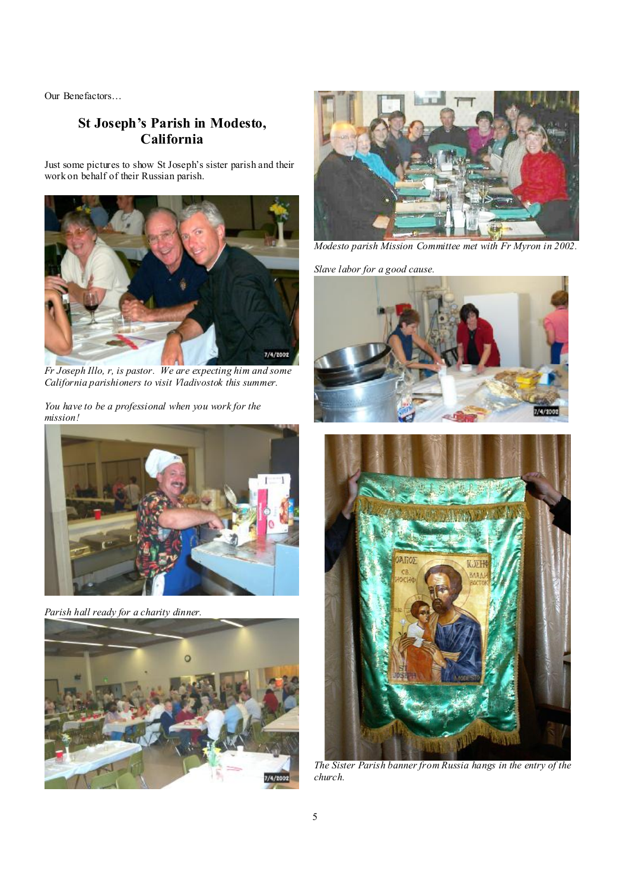Our Benefactors…

## **St Joseph's Parish in Modesto, California**

Just some pictures to show St Joseph's sister parish and their work on behalf of their Russian parish.



*Fr Joseph Illo, r, is pastor. We are expecting him and some California parishioners to visit Vladivostok this summer.* 

*You have to be a professional when you work for the mission!*



*Parish hall ready for a charity dinner.* 





*Modesto parish Mission Committee met with Fr Myron in 2002.* 

*Slave labor for a good cause.* 





*The Sister Parish banner from Russia hangs in the entry of the church.*

I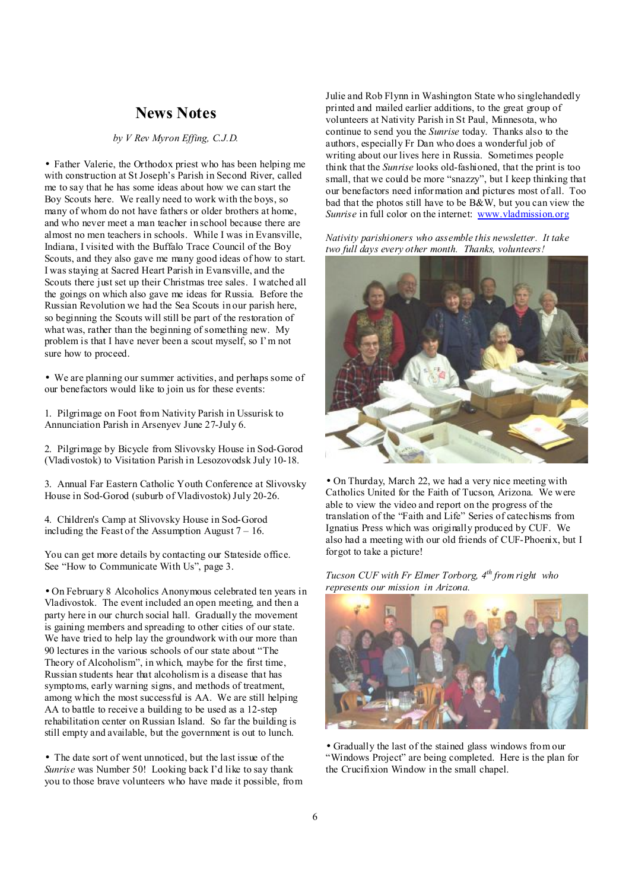## **News Notes**

*by V Rev Myron Effing, C.J.D.*

• Father Valerie, the Orthodox priest who has been helping me with construction at St Joseph's Parish in Second River, called me to say that he has some ideas about how we can start the Boy Scouts here. We really need to work with the boys, so many of whom do not have fathers or older brothers at home, and who never meet a man teacher in school because there are almost no men teachers in schools. While I was in Evansville, Indiana, I visited with the Buffalo Trace Council of the Boy Scouts, and they also gave me many good ideas of how to start. I was staying at Sacred Heart Parish in Evansville, and the Scouts there just set up their Christmas tree sales. I watched all the goings on which also gave me ideas for Russia. Before the Russian Revolution we had the Sea Scouts in our parish here, so beginning the Scouts will still be part of the restoration of what was, rather than the beginning of something new. My problem is that I have never been a scout myself, so I'm not sure how to proceed.

• We are planning our summer activities, and perhaps some of our benefactors would like to join us for these events:

1. Pilgrimage on Foot from Nativity Parish in Ussurisk to Annunciation Parish in Arsenyev June 27-July 6.

2. Pilgrimage by Bicycle from Slivovsky House in Sod-Gorod (Vladivostok) to Visitation Parish in Lesozovodsk July 10-18.

3. Annual Far Eastern Catholic Youth Conference at Slivovsky House in Sod-Gorod (suburb of Vladivostok) July 20-26.

4. Children's Camp at Slivovsky House in Sod-Gorod including the Feast of the Assumption August  $7 - 16$ .

You can get more details by contacting our Stateside office. See "How to Communicate With Us", page 3.

• On February 8 Alcoholics Anonymous celebrated ten years in Vladivostok. The event included an open meeting, and then a party here in our church social hall. Gradually the movement is gaining members and spreading to other cities of our state. We have tried to help lay the groundwork with our more than 90 lectures in the various schools of our state about "The Theory of Alcoholism", in which, maybe for the first time, Russian students hear that alcoholism is a disease that has symptoms, early warning signs, and methods of treatment, among which the most successful is AA. We are still helping AA to battle to receive a building to be used as a 12-step rehabilitation center on Russian Island. So far the building is still empty and available, but the government is out to lunch.

• The date sort of went unnoticed, but the last issue of the *Sunrise* was Number 50! Looking back I'd like to say thank you to those brave volunteers who have made it possible, from Julie and Rob Flynn in Washington State who singlehandedly printed and mailed earlier additions, to the great group of volunteers at Nativity Parish in St Paul, Minnesota, who continue to send you the *Sunrise* today. Thanks also to the authors, especially Fr Dan who does a wonderful job of writing about our lives here in Russia. Sometimes people think that the *Sunrise* looks old-fashioned, that the print is too small, that we could be more "snazzy", but I keep thinking that our benefactors need information and pictures most of all. Too bad that the photos still have to be  $B\&w$ , but you can view the *Sunrise* in full color on the internet: [www.vladmission.org](http://www.vladmission.org)

*Nativity parishioners who assemble this newsletter. It take two full days every other month. Thanks, volunteers!* 



• On Thurday, March 22, we had a very nice meeting with Catholics United for the Faith of Tucson, Arizona. We were able to view the video and report on the progress of the translation of the "Faith and Life" Series of catechisms from Ignatius Press which was originally produced by CUF. We also had a meeting with our old friends of CUF-Phoenix, but I forgot to take a picture!

*Tucson CUF with Fr Elmer Torborg, 4th from right who represents our mission in Arizona.* 



• Gradually the last of the stained glass windows from our "Windows Project" are being completed. Here is the plan for the Crucifixion Window in the small chapel.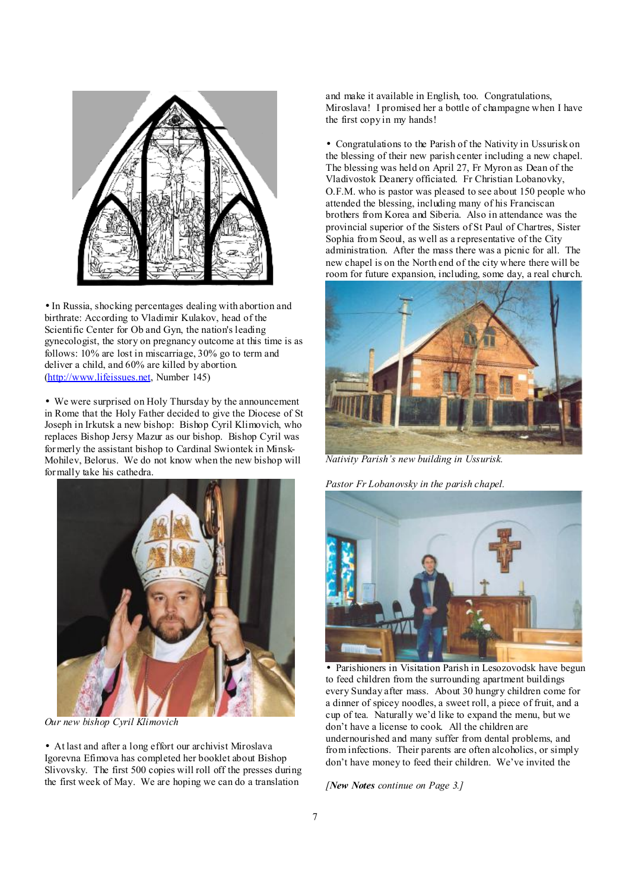

• In Russia, shocking percentages dealing with abortion and birthrate: According to Vladimir Kulakov, head of the Scientific Center for Ob and Gyn, the nation's leading gynecologist, the story on pregnancy outcome at this time is as follows: 10% are lost in miscarriage, 30% go to term and deliver a child, and 60% are killed by abortion. [\(http://www.lifeissues.net](http://www.lifeissues.net), Number 145)

• We were surprised on Holy Thursday by the announcement in Rome that the Holy Father decided to give the Diocese of St Joseph in Irkutsk a new bishop: Bishop Cyril Klimovich, who replaces Bishop Jersy Mazur as our bishop. Bishop Cyril was formerly the assistant bishop to Cardinal Swiontek in Minsk-Mohilev, Belorus. We do not know when the new bishop will formally take his cathedra.



*Our new bishop Cyril Klimovich* 

• At last and after a long effort our archivist Miroslava Igorevna Efimova has completed her booklet about Bishop Slivovsky. The first 500 copies will roll off the presses during the first week of May. We are hoping we can do a translation

and make it available in English, too. Congratulations, Miroslava! I promised her a bottle of champagne when I have the first copy in my hands!

• Congratulations to the Parish of the Nativity in Ussurisk on the blessing of their new parish center including a new chapel. The blessing was held on April 27, Fr Myron as Dean of the Vladivostok Deanery officiated. Fr Christian Lobanovky, O.F.M. who is pastor was pleased to see about 150 people who attended the blessing, including many of his Franciscan brothers from Korea and Siberia. Also in attendance was the provincial superior of the Sisters of St Paul of Chartres, Sister Sophia from Seoul, as well as a representative of the City administration. After the mass there was a picnic for all. The new chapel is on the North end of the city where there will be room for future expansion, including, some day, a real church.



*Nativity Parish's new building in Ussurisk.*

*Pastor Fr Lobanovsky in the parish chapel.* 



• Parishioners in Visitation Parish in Lesozovodsk have begun to feed children from the surrounding apartment buildings every Sunday after mass. About 30 hungry children come for a dinner of spicey noodles, a sweet roll, a piece of fruit, and a cup of tea. Naturally we'd like to expand the menu, but we don't have a license to cook. All the children are undernourished and many suffer from dental problems, and from infections. Their parents are often alcoholics, or simply don't have money to feed their children. We've invited the

*[New Notes continue on Page 3.]*